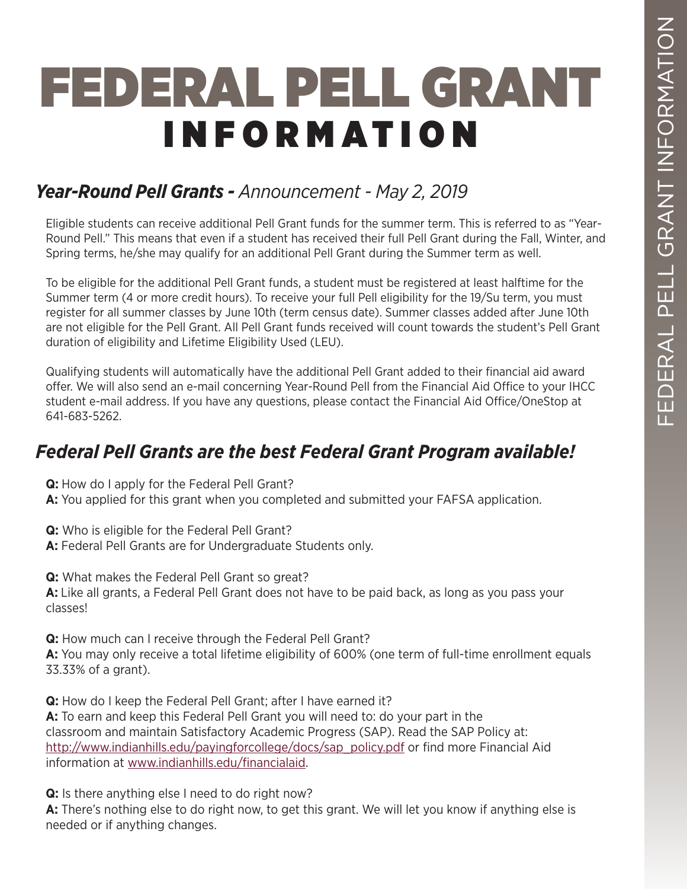# FEDERAL PELL GRANT INFORMATION

# *Year-Round Pell Grants - Announcement - May 2, 2019*

Eligible students can receive additional Pell Grant funds for the summer term. This is referred to as "Year-Round Pell." This means that even if a student has received their full Pell Grant during the Fall, Winter, and Spring terms, he/she may qualify for an additional Pell Grant during the Summer term as well.

To be eligible for the additional Pell Grant funds, a student must be registered at least halftime for the Summer term (4 or more credit hours). To receive your full Pell eligibility for the 19/Su term, you must register for all summer classes by June 10th (term census date). Summer classes added after June 10th are not eligible for the Pell Grant. All Pell Grant funds received will count towards the student's Pell Grant duration of eligibility and Lifetime Eligibility Used (LEU).

Qualifying students will automatically have the additional Pell Grant added to their financial aid award offer. We will also send an e-mail concerning Year-Round Pell from the Financial Aid Office to your IHCC student e-mail address. If you have any questions, please contact the Financial Aid Office/OneStop at 641-683-5262.

# *Federal Pell Grants are the best Federal Grant Program available!*

**Q:** How do I apply for the Federal Pell Grant?

**A:** You applied for this grant when you completed and submitted your FAFSA application.

**Q:** Who is eligible for the Federal Pell Grant?

**A:** Federal Pell Grants are for Undergraduate Students only.

**Q:** What makes the Federal Pell Grant so great? **A:** Like all grants, a Federal Pell Grant does not have to be paid back, as long as you pass your classes!

**Q:** How much can I receive through the Federal Pell Grant?

**A:** You may only receive a total lifetime eligibility of 600% (one term of full-time enrollment equals 33.33% of a grant).

**Q:** How do I keep the Federal Pell Grant; after I have earned it? **A:** To earn and keep this Federal Pell Grant you will need to: do your part in the classroom and maintain Satisfactory Academic Progress (SAP). Read the SAP Policy at: http://www.indianhills.edu/payingforcollege/docs/sap\_policy.pdf or find more Financial Aid information at www.indianhills.edu/financialaid.

**Q:** Is there anything else I need to do right now?

**A:** There's nothing else to do right now, to get this grant. We will let you know if anything else is needed or if anything changes.